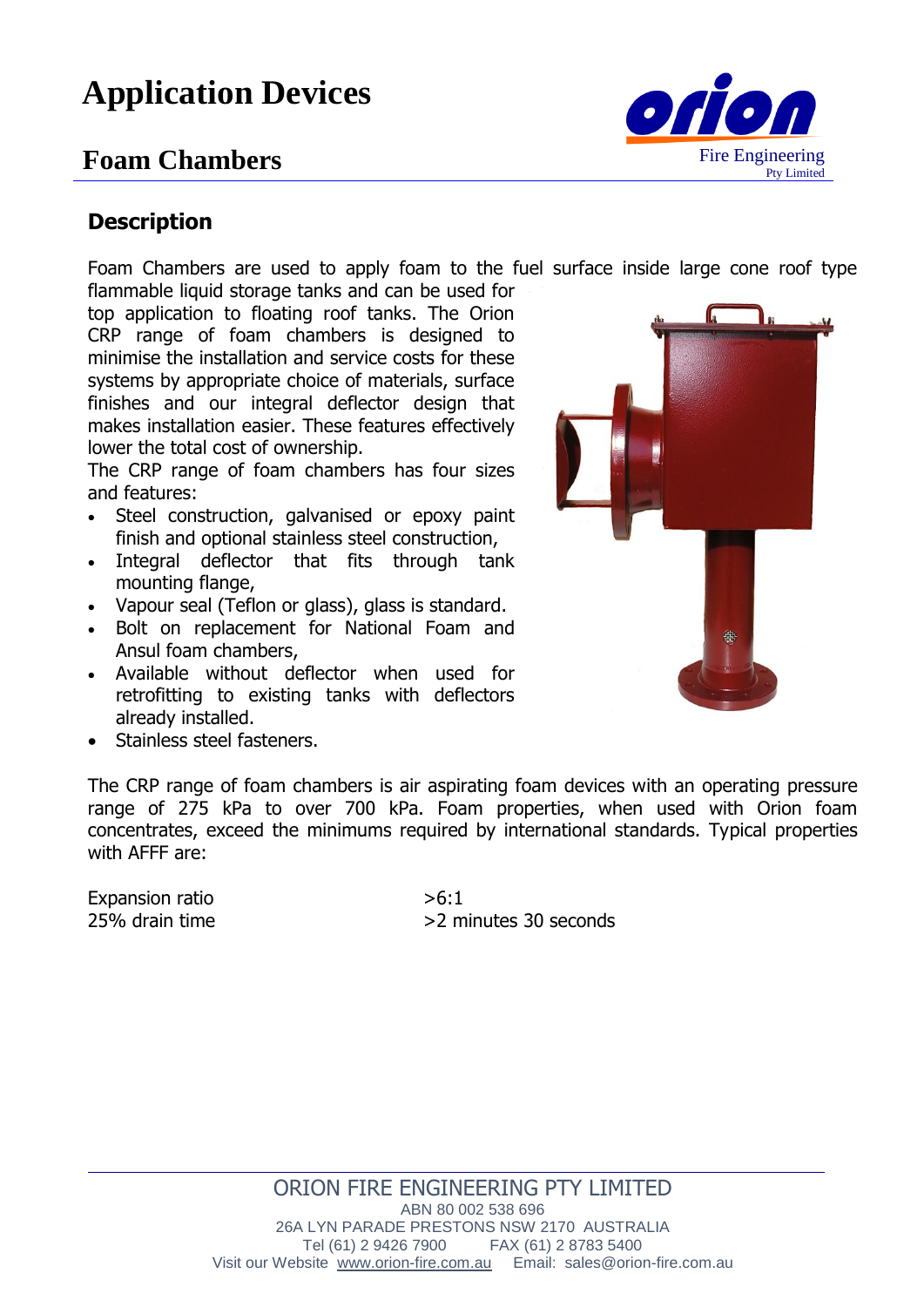# **Application Devices**

## **Foam Chambers**



#### **Description**

Foam Chambers are used to apply foam to the fuel surface inside large cone roof type flammable liquid storage tanks and can be used for

top application to floating roof tanks. The Orion CRP range of foam chambers is designed to minimise the installation and service costs for these systems by appropriate choice of materials, surface finishes and our integral deflector design that makes installation easier. These features effectively lower the total cost of ownership.

The CRP range of foam chambers has four sizes and features:

- Steel construction, galvanised or epoxy paint finish and optional stainless steel construction,
- Integral deflector that fits through tank mounting flange,
- Vapour seal (Teflon or glass), glass is standard.
- Bolt on replacement for National Foam and Ansul foam chambers,
- Available without deflector when used for retrofitting to existing tanks with deflectors already installed.
- Stainless steel fasteners.

The CRP range of foam chambers is air aspirating foam devices with an operating pressure range of 275 kPa to over 700 kPa. Foam properties, when used with Orion foam concentrates, exceed the minimums required by international standards. Typical properties with AFFF are:

Expansion ratio  $>6.1$ 

25% drain time  $>2$  minutes 30 seconds



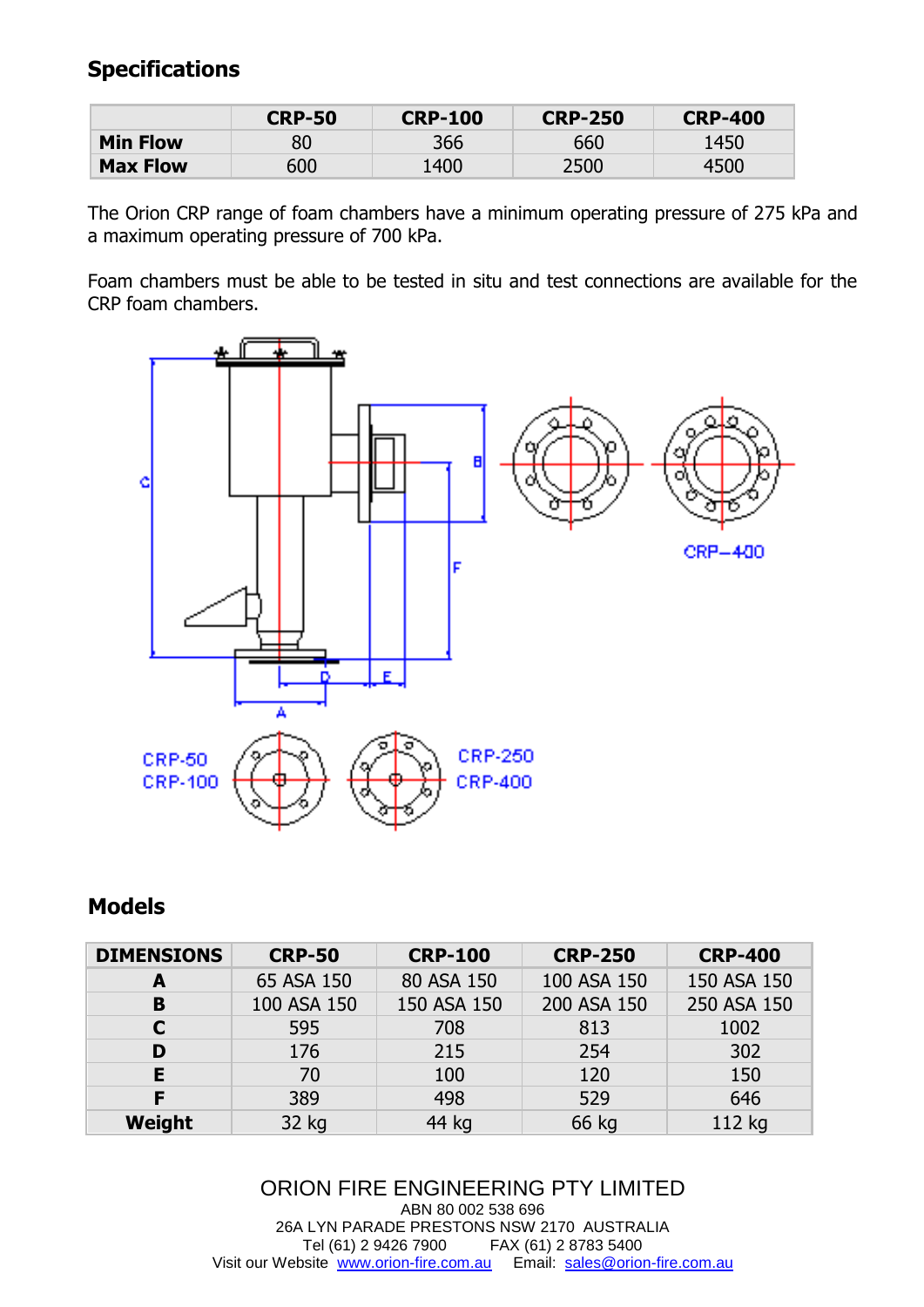### **Specifications**

|                 | <b>CRP-50</b> | <b>CRP-100</b> | <b>CRP-250</b> | <b>CRP-400</b> |
|-----------------|---------------|----------------|----------------|----------------|
| <b>Min Flow</b> | 80            | 366            | 660            | 1450           |
| <b>Max Flow</b> | 600           | 1400           | 2500           | 4500           |

The Orion CRP range of foam chambers have a minimum operating pressure of 275 kPa and a maximum operating pressure of 700 kPa.

Foam chambers must be able to be tested in situ and test connections are available for the CRP foam chambers.



#### **Models**

| <b>DIMENSIONS</b> | <b>CRP-50</b> | <b>CRP-100</b> | <b>CRP-250</b> | <b>CRP-400</b> |
|-------------------|---------------|----------------|----------------|----------------|
| A                 | 65 ASA 150    | 80 ASA 150     | 100 ASA 150    | 150 ASA 150    |
| B                 | 100 ASA 150   | 150 ASA 150    | 200 ASA 150    | 250 ASA 150    |
| C                 | 595           | 708            | 813            | 1002           |
| D                 | 176           | 215            | 254            | 302            |
| E                 | 70            | 100            | 120            | 150            |
| F                 | 389           | 498            | 529            | 646            |
| Weight            | 32 kg         | 44 kg          | 66 kg          | 112 kg         |

ORION FIRE ENGINEERING PTY LIMITED ABN 80 002 538 696 26A LYN PARADE PRESTONS NSW 2170 AUSTRALIA Tel (61) 2 9426 7900 FAX (61) 2 8783 5400 Visit our Website [www.orion-fire.com.au](http://www.orion-fire.com.au/) Email: [sales@orion-fire.com.au](mailto:sales@orion-fire.com.au)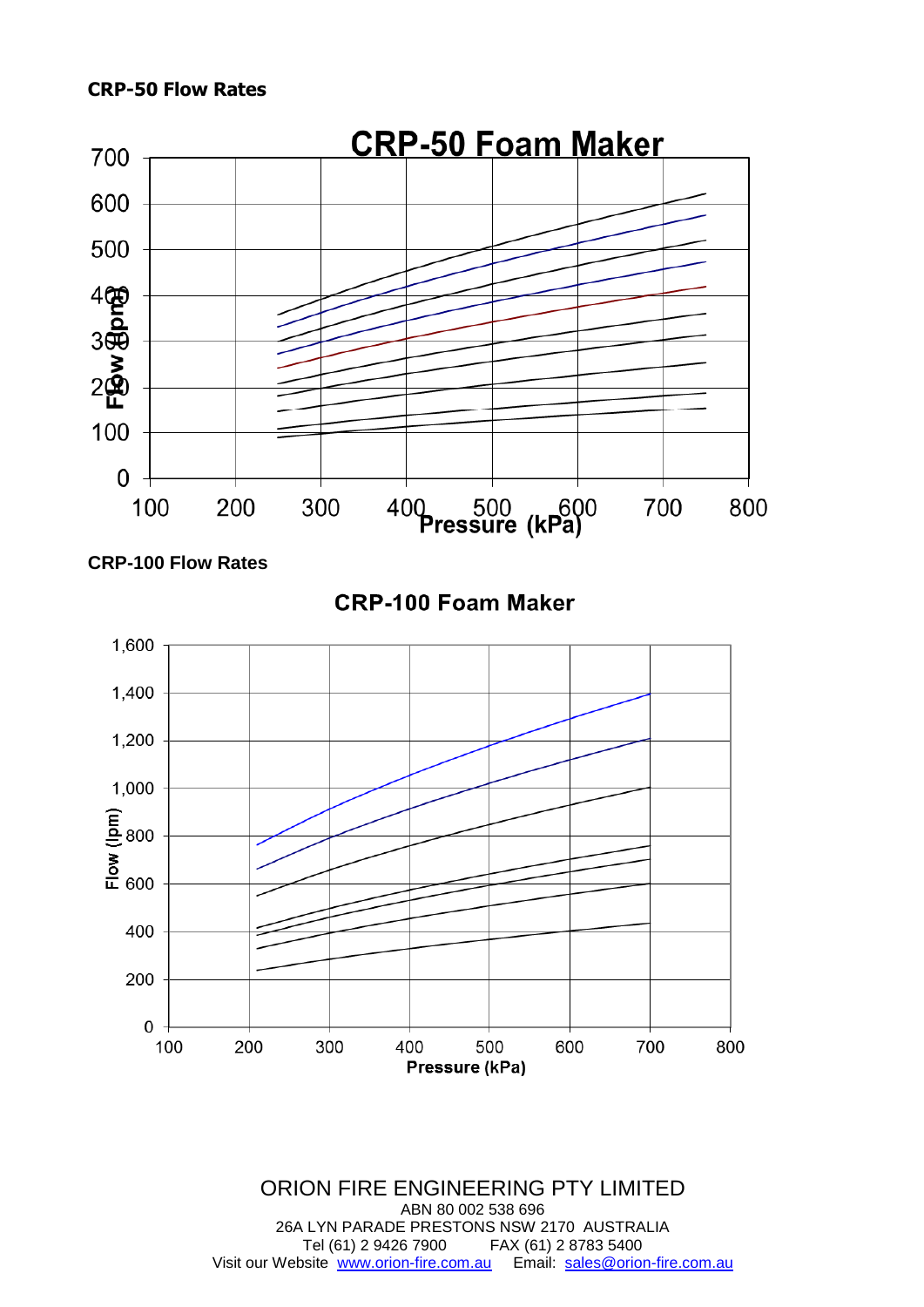

**CRP-100 Flow Rates**

**CRP-100 Foam Maker** 



ORION FIRE ENGINEERING PTY LIMITED ABN 80 002 538 696 26A LYN PARADE PRESTONS NSW 2170 AUSTRALIA Tel (61) 2 9426 7900 FAX (61) 2 8783 5400 Visit our Website [www.orion-fire.com.au](http://www.orion-fire.com.au/) Email: [sales@orion-fire.com.au](mailto:sales@orion-fire.com.au)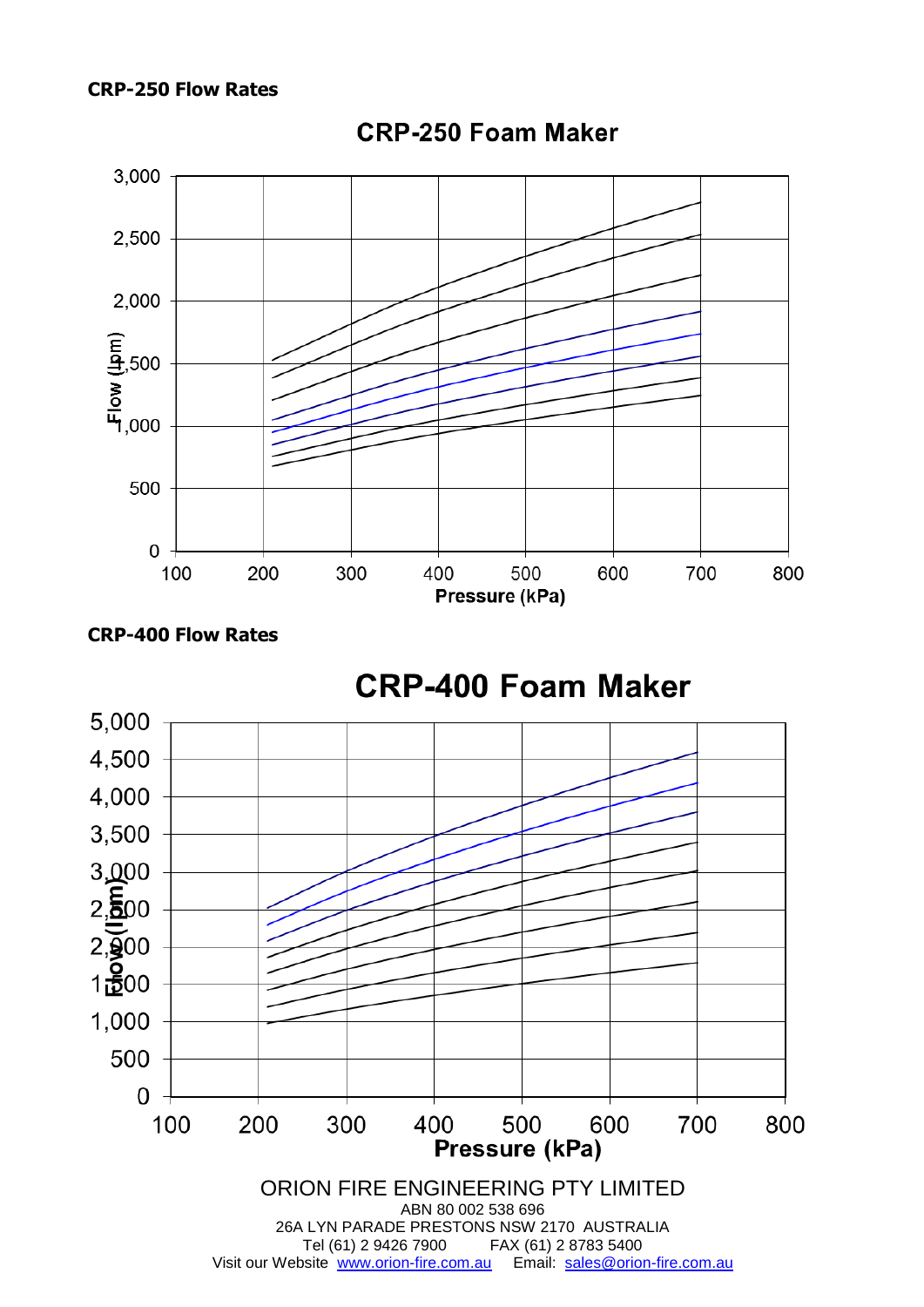#### **CRP-250 Flow Rates**



#### **CRP-250 Foam Maker**



## **CRP-400 Foam Maker**